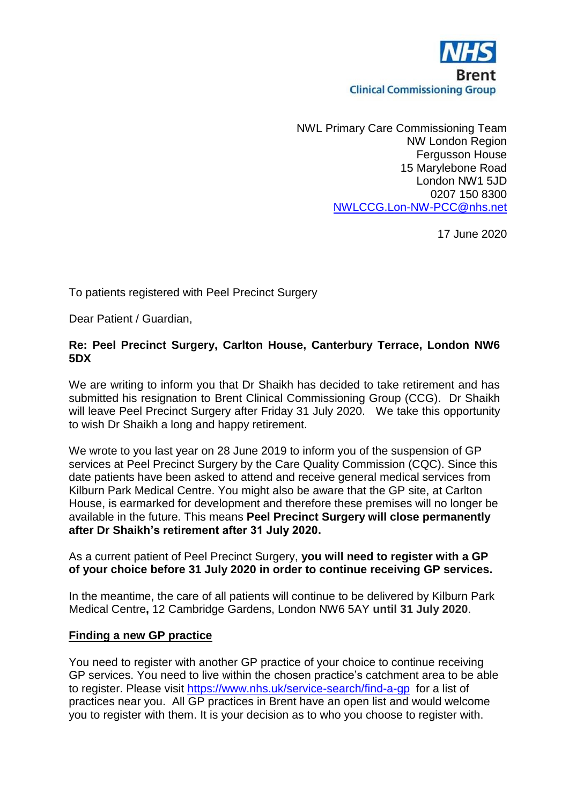

NWL Primary Care Commissioning Team NW London Region Fergusson House 15 Marylebone Road London NW1 5JD 0207 150 8300 [NWLCCG.Lon-NW-PCC@nhs.net](mailto:NWLCCG.Lon-NW-PCC@nhs.net)

17 June 2020

To patients registered with Peel Precinct Surgery

Dear Patient / Guardian,

## **Re: Peel Precinct Surgery, Carlton House, Canterbury Terrace, London NW6 5DX**

We are writing to inform you that Dr Shaikh has decided to take retirement and has submitted his resignation to Brent Clinical Commissioning Group (CCG). Dr Shaikh will leave Peel Precinct Surgery after Friday 31 July 2020. We take this opportunity to wish Dr Shaikh a long and happy retirement.

We wrote to you last year on 28 June 2019 to inform you of the suspension of GP services at Peel Precinct Surgery by the Care Quality Commission (CQC). Since this date patients have been asked to attend and receive general medical services from Kilburn Park Medical Centre. You might also be aware that the GP site, at Carlton House, is earmarked for development and therefore these premises will no longer be available in the future. This means **Peel Precinct Surgery will close permanently after Dr Shaikh's retirement after 31 July 2020.**

As a current patient of Peel Precinct Surgery, **you will need to register with a GP of your choice before 31 July 2020 in order to continue receiving GP services.** 

In the meantime, the care of all patients will continue to be delivered by Kilburn Park Medical Centre**,** 12 Cambridge Gardens, London NW6 5AY **until 31 July 2020**.

#### **Finding a new GP practice**

You need to register with another GP practice of your choice to continue receiving GP services. You need to live within the chosen practice's catchment area to be able to register. Please visit<https://www.nhs.uk/service-search/find-a-gp> for a list of practices near you. All GP practices in Brent have an open list and would welcome you to register with them. It is your decision as to who you choose to register with.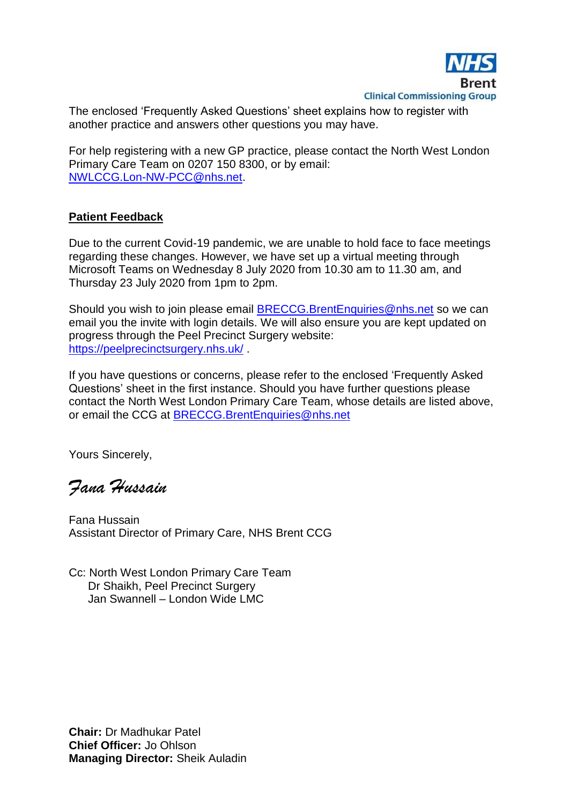

The enclosed 'Frequently Asked Questions' sheet explains how to register with another practice and answers other questions you may have.

For help registering with a new GP practice, please contact the North West London Primary Care Team on 0207 150 8300, or by email: [NWLCCG.Lon-NW-PCC@nhs.net.](mailto:NWLCCG.Lon-NW-PCC@nhs.net)

## **Patient Feedback**

Due to the current Covid-19 pandemic, we are unable to hold face to face meetings regarding these changes. However, we have set up a virtual meeting through Microsoft Teams on Wednesday 8 July 2020 from 10.30 am to 11.30 am, and Thursday 23 July 2020 from 1pm to 2pm.

Should you wish to join please email [BRECCG.BrentEnquiries@nhs.net](mailto:BRECCG.BrentEnquiries@nhs.net) so we can email you the invite with login details. We will also ensure you are kept updated on progress through the Peel Precinct Surgery website: <https://peelprecinctsurgery.nhs.uk/>.

If you have questions or concerns, please refer to the enclosed 'Frequently Asked Questions' sheet in the first instance. Should you have further questions please contact the North West London Primary Care Team, whose details are listed above, or email the CCG at [BRECCG.BrentEnquiries@nhs.net](mailto:BRECCG.BrentEnquiries@nhs.net)

Yours Sincerely,

*Fana Hussain*

Fana Hussain Assistant Director of Primary Care, NHS Brent CCG

Cc: North West London Primary Care Team Dr Shaikh, Peel Precinct Surgery Jan Swannell – London Wide LMC

**Chair:** Dr Madhukar Patel **Chief Officer:** Jo Ohlson **Managing Director:** Sheik Auladin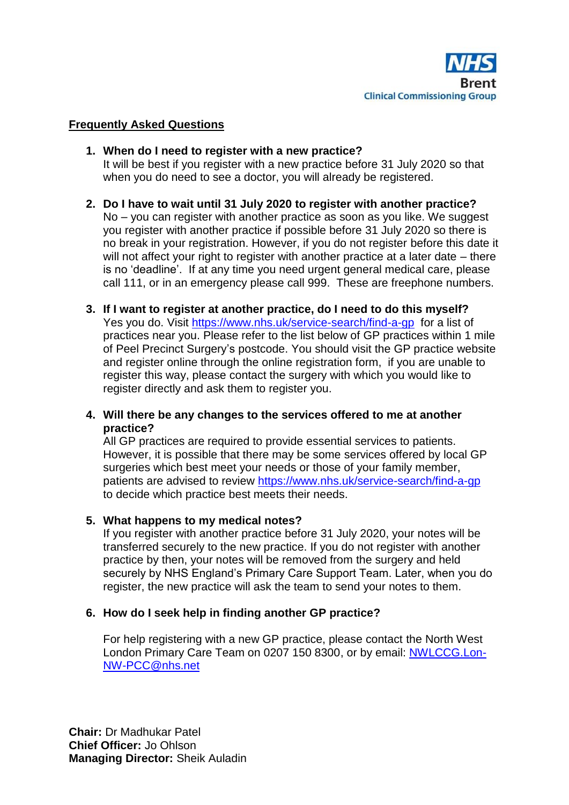

## **Frequently Asked Questions**

- **1. When do I need to register with a new practice?** It will be best if you register with a new practice before 31 July 2020 so that when you do need to see a doctor, you will already be registered.
- **2. Do I have to wait until 31 July 2020 to register with another practice?** No – you can register with another practice as soon as you like. We suggest you register with another practice if possible before 31 July 2020 so there is no break in your registration. However, if you do not register before this date it will not affect your right to register with another practice at a later date – there is no 'deadline'. If at any time you need urgent general medical care, please call 111, or in an emergency please call 999. These are freephone numbers.
- **3. If I want to register at another practice, do I need to do this myself?** Yes you do. Visit<https://www.nhs.uk/service-search/find-a-gp>for a list of practices near you. Please refer to the list below of GP practices within 1 mile of Peel Precinct Surgery's postcode. You should visit the GP practice website and register online through the online registration form, if you are unable to register this way, please contact the surgery with which you would like to register directly and ask them to register you.
- **4. Will there be any changes to the services offered to me at another practice?**

All GP practices are required to provide essential services to patients. However, it is possible that there may be some services offered by local GP surgeries which best meet your needs or those of your family member, patients are advised to review <https://www.nhs.uk/service-search/find-a-gp> to decide which practice best meets their needs.

#### **5. What happens to my medical notes?**

If you register with another practice before 31 July 2020, your notes will be transferred securely to the new practice. If you do not register with another practice by then, your notes will be removed from the surgery and held securely by NHS England's Primary Care Support Team. Later, when you do register, the new practice will ask the team to send your notes to them.

#### **6. How do I seek help in finding another GP practice?**

For help registering with a new GP practice, please contact the North West London Primary Care Team on 0207 150 8300, or by email: [NWLCCG.Lon-](mailto:NWLCCG.Lon-NW-PCC@nhs.net)[NW-PCC@nhs.net](mailto:NWLCCG.Lon-NW-PCC@nhs.net)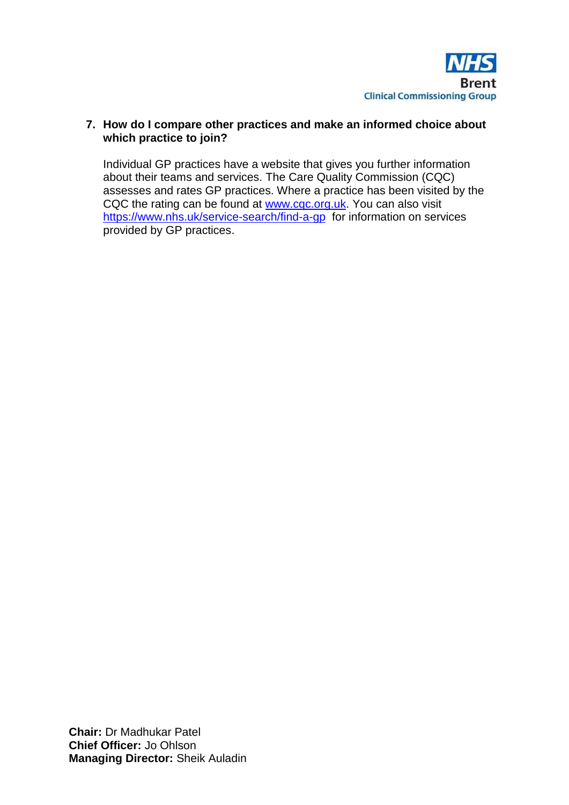

## **7. How do I compare other practices and make an informed choice about which practice to join?**

Individual GP practices have a website that gives you further information about their teams and services. The Care Quality Commission (CQC) assesses and rates GP practices. Where a practice has been visited by the CQC the rating can be found at [www.cqc.org.uk.](http://www.cqc.org.uk/) You can also visit <https://www.nhs.uk/service-search/find-a-gp>for information on services provided by GP practices.